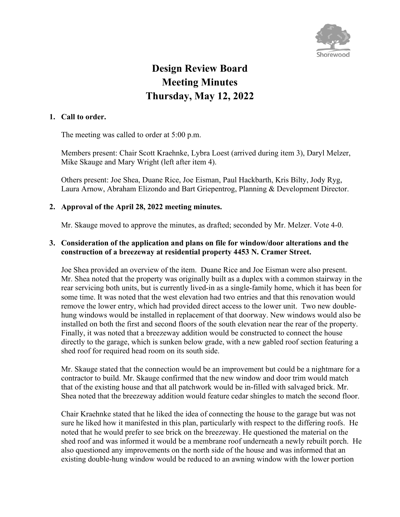

# **Design Review Board Meeting Minutes Thursday, May 12, 2022**

#### **1. Call to order.**

The meeting was called to order at 5:00 p.m.

Members present: Chair Scott Kraehnke, Lybra Loest (arrived during item 3), Daryl Melzer, Mike Skauge and Mary Wright (left after item 4).

Others present: Joe Shea, Duane Rice, Joe Eisman, Paul Hackbarth, Kris Bilty, Jody Ryg, Laura Arnow, Abraham Elizondo and Bart Griepentrog, Planning & Development Director.

# **2. Approval of the April 28, 2022 meeting minutes.**

Mr. Skauge moved to approve the minutes, as drafted; seconded by Mr. Melzer. Vote 4-0.

# **3. Consideration of the application and plans on file for window/door alterations and the construction of a breezeway at residential property 4453 N. Cramer Street.**

Joe Shea provided an overview of the item. Duane Rice and Joe Eisman were also present. Mr. Shea noted that the property was originally built as a duplex with a common stairway in the rear servicing both units, but is currently lived-in as a single-family home, which it has been for some time. It was noted that the west elevation had two entries and that this renovation would remove the lower entry, which had provided direct access to the lower unit. Two new doublehung windows would be installed in replacement of that doorway. New windows would also be installed on both the first and second floors of the south elevation near the rear of the property. Finally, it was noted that a breezeway addition would be constructed to connect the house directly to the garage, which is sunken below grade, with a new gabled roof section featuring a shed roof for required head room on its south side.

Mr. Skauge stated that the connection would be an improvement but could be a nightmare for a contractor to build. Mr. Skauge confirmed that the new window and door trim would match that of the existing house and that all patchwork would be in-filled with salvaged brick. Mr. Shea noted that the breezeway addition would feature cedar shingles to match the second floor.

Chair Kraehnke stated that he liked the idea of connecting the house to the garage but was not sure he liked how it manifested in this plan, particularly with respect to the differing roofs. He noted that he would prefer to see brick on the breezeway. He questioned the material on the shed roof and was informed it would be a membrane roof underneath a newly rebuilt porch. He also questioned any improvements on the north side of the house and was informed that an existing double-hung window would be reduced to an awning window with the lower portion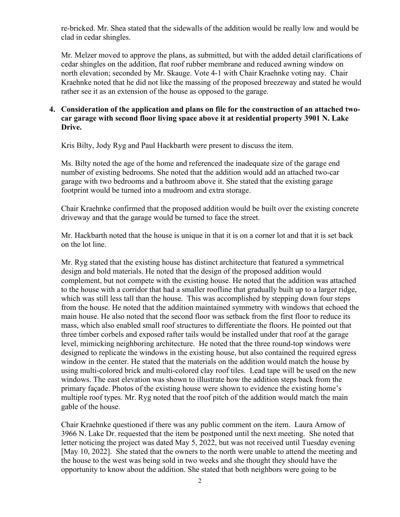re-bricked. Mr. Shea stated that the sidewalls of the addition would be really low and would be clad in cedar shingles.

Mr. Melzer moved to approve the plans, as submitted, but with the added detail clarifications of cedar shingles on the addition, flat roof rubber membrane and reduced awning window on north elevation; seconded by Mr. Skauge. Vote 4-1 with Chair Kraehnke voting nay. Chair Kraehnke noted that he did not like the massing of the proposed breezeway and stated he would rather see it as an extension of the house as opposed to the garage.

#### **4. Consideration of the application and plans on file for the construction of an attached twocar garage with second floor living space above it at residential property 3901 N. Lake Drive.**

Kris Bilty, Jody Ryg and Paul Hackbarth were present to discuss the item.

Ms. Bilty noted the age of the home and referenced the inadequate size of the garage end number of existing bedrooms. She noted that the addition would add an attached two-car garage with two bedrooms and a bathroom above it. She stated that the existing garage footprint would be turned into a mudroom and extra storage.

Chair Kraehnke confirmed that the proposed addition would be built over the existing concrete driveway and that the garage would be turned to face the street.

Mr. Hackbarth noted that the house is unique in that it is on a corner lot and that it is set back on the lot line.

Mr. Ryg stated that the existing house has distinct architecture that featured a symmetrical design and bold materials. He noted that the design of the proposed addition would complement, but not compete with the existing house. He noted that the addition was attached to the house with a corridor that had a smaller roofline that gradually built up to a larger ridge, which was still less tall than the house. This was accomplished by stepping down four steps from the house. He noted that the addition maintained symmetry with windows that echoed the main house. He also noted that the second floor was setback from the first floor to reduce its mass, which also enabled small roof structures to differentiate the floors. He pointed out that three timber corbels and exposed rafter tails would be installed under that roof at the garage level, mimicking neighboring architecture. He noted that the three round-top windows were designed to replicate the windows in the existing house, but also contained the required egress window in the center. He stated that the materials on the addition would match the house by using multi-colored brick and multi-colored clay roof tiles. Lead tape will be used on the new windows. The east elevation was shown to illustrate how the addition steps back from the primary façade. Photos of the existing house were shown to evidence the existing home's multiple roof types. Mr. Ryg noted that the roof pitch of the addition would match the main gable of the house.

Chair Kraehnke questioned if there was any public comment on the item. Laura Arnow of 3966 N. Lake Dr. requested that the item be postponed until the next meeting. She noted that letter noticing the project was dated May 5, 2022, but was not received until Tuesday evening [May 10, 2022]. She stated that the owners to the north were unable to attend the meeting and the house to the west was being sold in two weeks and she thought they should have the opportunity to know about the addition. She stated that both neighbors were going to be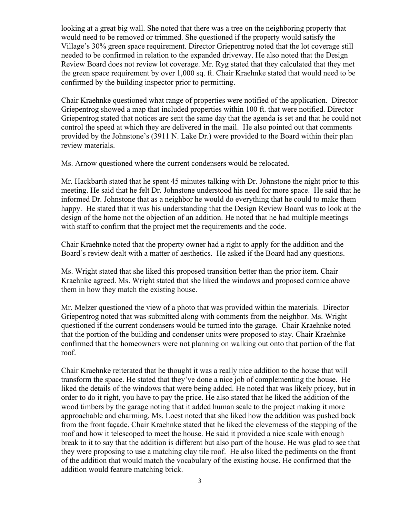looking at a great big wall. She noted that there was a tree on the neighboring property that would need to be removed or trimmed. She questioned if the property would satisfy the Village's 30% green space requirement. Director Griepentrog noted that the lot coverage still needed to be confirmed in relation to the expanded driveway. He also noted that the Design Review Board does not review lot coverage. Mr. Ryg stated that they calculated that they met the green space requirement by over 1,000 sq. ft. Chair Kraehnke stated that would need to be confirmed by the building inspector prior to permitting.

Chair Kraehnke questioned what range of properties were notified of the application. Director Griepentrog showed a map that included properties within 100 ft. that were notified. Director Griepentrog stated that notices are sent the same day that the agenda is set and that he could not control the speed at which they are delivered in the mail. He also pointed out that comments provided by the Johnstone's (3911 N. Lake Dr.) were provided to the Board within their plan review materials.

Ms. Arnow questioned where the current condensers would be relocated.

Mr. Hackbarth stated that he spent 45 minutes talking with Dr. Johnstone the night prior to this meeting. He said that he felt Dr. Johnstone understood his need for more space. He said that he informed Dr. Johnstone that as a neighbor he would do everything that he could to make them happy. He stated that it was his understanding that the Design Review Board was to look at the design of the home not the objection of an addition. He noted that he had multiple meetings with staff to confirm that the project met the requirements and the code.

Chair Kraehnke noted that the property owner had a right to apply for the addition and the Board's review dealt with a matter of aesthetics. He asked if the Board had any questions.

Ms. Wright stated that she liked this proposed transition better than the prior item. Chair Kraehnke agreed. Ms. Wright stated that she liked the windows and proposed cornice above them in how they match the existing house.

Mr. Melzer questioned the view of a photo that was provided within the materials. Director Griepentrog noted that was submitted along with comments from the neighbor. Ms. Wright questioned if the current condensers would be turned into the garage. Chair Kraehnke noted that the portion of the building and condenser units were proposed to stay. Chair Kraehnke confirmed that the homeowners were not planning on walking out onto that portion of the flat roof.

Chair Kraehnke reiterated that he thought it was a really nice addition to the house that will transform the space. He stated that they've done a nice job of complementing the house. He liked the details of the windows that were being added. He noted that was likely pricey, but in order to do it right, you have to pay the price. He also stated that he liked the addition of the wood timbers by the garage noting that it added human scale to the project making it more approachable and charming. Ms. Loest noted that she liked how the addition was pushed back from the front façade. Chair Kraehnke stated that he liked the cleverness of the stepping of the roof and how it telescoped to meet the house. He said it provided a nice scale with enough break to it to say that the addition is different but also part of the house. He was glad to see that they were proposing to use a matching clay tile roof. He also liked the pediments on the front of the addition that would match the vocabulary of the existing house. He confirmed that the addition would feature matching brick.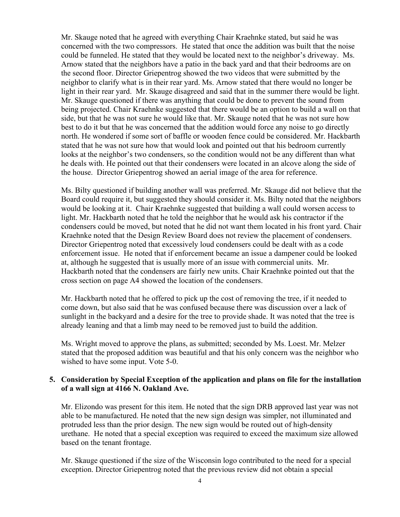Mr. Skauge noted that he agreed with everything Chair Kraehnke stated, but said he was concerned with the two compressors. He stated that once the addition was built that the noise could be funneled. He stated that they would be located next to the neighbor's driveway. Ms. Arnow stated that the neighbors have a patio in the back yard and that their bedrooms are on the second floor. Director Griepentrog showed the two videos that were submitted by the neighbor to clarify what is in their rear yard. Ms. Arnow stated that there would no longer be light in their rear yard. Mr. Skauge disagreed and said that in the summer there would be light. Mr. Skauge questioned if there was anything that could be done to prevent the sound from being projected. Chair Kraehnke suggested that there would be an option to build a wall on that side, but that he was not sure he would like that. Mr. Skauge noted that he was not sure how best to do it but that he was concerned that the addition would force any noise to go directly north. He wondered if some sort of baffle or wooden fence could be considered. Mr. Hackbarth stated that he was not sure how that would look and pointed out that his bedroom currently looks at the neighbor's two condensers, so the condition would not be any different than what he deals with. He pointed out that their condensers were located in an alcove along the side of the house. Director Griepentrog showed an aerial image of the area for reference.

Ms. Bilty questioned if building another wall was preferred. Mr. Skauge did not believe that the Board could require it, but suggested they should consider it. Ms. Bilty noted that the neighbors would be looking at it. Chair Kraehnke suggested that building a wall could worsen access to light. Mr. Hackbarth noted that he told the neighbor that he would ask his contractor if the condensers could be moved, but noted that he did not want them located in his front yard. Chair Kraehnke noted that the Design Review Board does not review the placement of condensers. Director Griepentrog noted that excessively loud condensers could be dealt with as a code enforcement issue. He noted that if enforcement became an issue a dampener could be looked at, although he suggested that is usually more of an issue with commercial units. Mr. Hackbarth noted that the condensers are fairly new units. Chair Kraehnke pointed out that the cross section on page A4 showed the location of the condensers.

Mr. Hackbarth noted that he offered to pick up the cost of removing the tree, if it needed to come down, but also said that he was confused because there was discussion over a lack of sunlight in the backyard and a desire for the tree to provide shade. It was noted that the tree is already leaning and that a limb may need to be removed just to build the addition.

Ms. Wright moved to approve the plans, as submitted; seconded by Ms. Loest. Mr. Melzer stated that the proposed addition was beautiful and that his only concern was the neighbor who wished to have some input. Vote 5-0.

#### **5. Consideration by Special Exception of the application and plans on file for the installation of a wall sign at 4166 N. Oakland Ave.**

Mr. Elizondo was present for this item. He noted that the sign DRB approved last year was not able to be manufactured. He noted that the new sign design was simpler, not illuminated and protruded less than the prior design. The new sign would be routed out of high-density urethane. He noted that a special exception was required to exceed the maximum size allowed based on the tenant frontage.

Mr. Skauge questioned if the size of the Wisconsin logo contributed to the need for a special exception. Director Griepentrog noted that the previous review did not obtain a special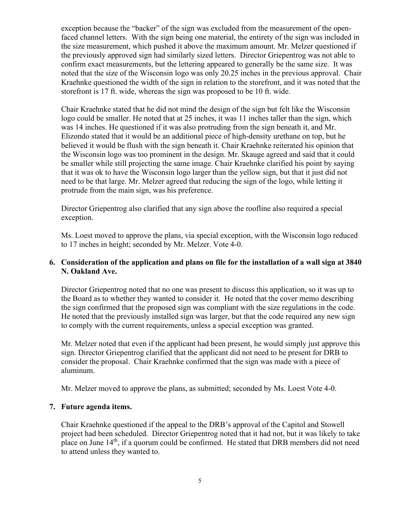exception because the "backer" of the sign was excluded from the measurement of the openfaced channel letters. With the sign being one material, the entirety of the sign was included in the size measurement, which pushed it above the maximum amount. Mr. Melzer questioned if the previously approved sign had similarly sized letters. Director Griepentrog was not able to confirm exact measurements, but the lettering appeared to generally be the same size. It was noted that the size of the Wisconsin logo was only 20.25 inches in the previous approval. Chair Kraehnke questioned the width of the sign in relation to the storefront, and it was noted that the storefront is 17 ft. wide, whereas the sign was proposed to be 10 ft. wide.

Chair Kraehnke stated that he did not mind the design of the sign but felt like the Wisconsin logo could be smaller. He noted that at 25 inches, it was 11 inches taller than the sign, which was 14 inches. He questioned if it was also protruding from the sign beneath it, and Mr. Elizondo stated that it would be an additional piece of high-density urethane on top, but he believed it would be flush with the sign beneath it. Chair Kraehnke reiterated his opinion that the Wisconsin logo was too prominent in the design. Mr. Skauge agreed and said that it could be smaller while still projecting the same image. Chair Kraehnke clarified his point by saying that it was ok to have the Wisconsin logo larger than the yellow sign, but that it just did not need to be that large. Mr. Melzer agreed that reducing the sign of the logo, while letting it protrude from the main sign, was his preference.

Director Griepentrog also clarified that any sign above the roofline also required a special exception.

Ms. Loest moved to approve the plans, via special exception, with the Wisconsin logo reduced to 17 inches in height; seconded by Mr. Melzer. Vote 4-0.

# **6. Consideration of the application and plans on file for the installation of a wall sign at 3840 N. Oakland Ave.**

Director Griepentrog noted that no one was present to discuss this application, so it was up to the Board as to whether they wanted to consider it. He noted that the cover memo describing the sign confirmed that the proposed sign was compliant with the size regulations in the code. He noted that the previously installed sign was larger, but that the code required any new sign to comply with the current requirements, unless a special exception was granted.

Mr. Melzer noted that even if the applicant had been present, he would simply just approve this sign. Director Griepentrog clarified that the applicant did not need to be present for DRB to consider the proposal. Chair Kraehnke confirmed that the sign was made with a piece of aluminum.

Mr. Melzer moved to approve the plans, as submitted; seconded by Ms. Loest Vote 4-0.

# **7. Future agenda items.**

Chair Kraehnke questioned if the appeal to the DRB's approval of the Capitol and Stowell project had been scheduled. Director Griepentrog noted that it had not, but it was likely to take place on June 14<sup>th</sup>, if a quorum could be confirmed. He stated that DRB members did not need to attend unless they wanted to.